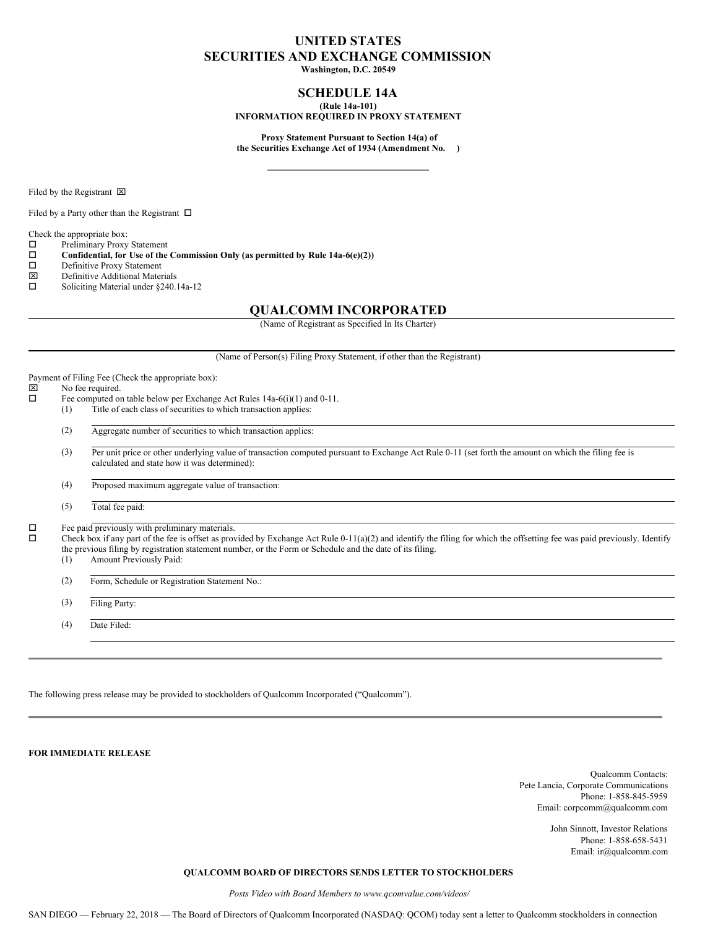# **UNITED STATES SECURITIES AND EXCHANGE COMMISSION**

**Washington, D.C. 20549**

## **SCHEDULE 14A (Rule 14a-101)**

# **INFORMATION REQUIRED IN PROXY STATEMENT**

**Proxy Statement Pursuant to Section 14(a) of the Securities Exchange Act of 1934 (Amendment No. )**

Filed by the Registrant  $\boxtimes$ 

Filed by a Party other than the Registrant  $\Box$ 

Check the appropriate box:

- $\square$  Preliminary Proxy Statement<br> $\square$  Confidential, for Use of the
- o **Confidential, for Use of the Commission Only (as permitted by Rule 14a-6(e)(2))**
- $\square$  Definitive Proxy Statement<br> $\square$  Definitive Additional Mater
- Definitive Additional Materials
- $\square$  Soliciting Material under §240.14a-12

# **QUALCOMM INCORPORATED**

(Name of Registrant as Specified In Its Charter)

(Name of Person(s) Filing Proxy Statement, if other than the Registrant)

Payment of Filing Fee (Check the appropriate box):<br> $|\overline{x}|$  No fee required

# $\boxtimes$  No fee required.<br> $\Box$  Fee computed or

- Fee computed on table below per Exchange Act Rules 14a-6(i)(1) and 0-11.
- (1) Title of each class of securities to which transaction applies:
- (2) Aggregate number of securities to which transaction applies:
- (3) Per unit price or other underlying value of transaction computed pursuant to Exchange Act Rule 0-11 (set forth the amount on which the filing fee is calculated and state how it was determined):

(4) Proposed maximum aggregate value of transaction:

(5) Total fee paid:

 $\square$  Fee paid previously with preliminary materials.<br> $\square$  Check hox if any part of the fee is offset as prov

Check box if any part of the fee is offset as provided by Exchange Act Rule 0-11(a)(2) and identify the filing for which the offsetting fee was paid previously. Identify the previous filing by registration statement number, or the Form or Schedule and the date of its filing.

(1) Amount Previously Paid:

(2) Form, Schedule or Registration Statement No.:

(3) Filing Party:

(4) Date Filed:

The following press release may be provided to stockholders of Qualcomm Incorporated ("Qualcomm").

**FOR IMMEDIATE RELEASE**

Qualcomm Contacts: Pete Lancia, Corporate Communications Phone: 1-858-845-5959 Email: corpcomm@qualcomm.com

> John Sinnott, Investor Relations Phone: 1-858-658-5431 Email: ir@qualcomm.com

# **QUALCOMM BOARD OF DIRECTORS SENDS LETTER TO STOCKHOLDERS**

*Posts Video with Board Members to www.qcomvalue.com/videos/*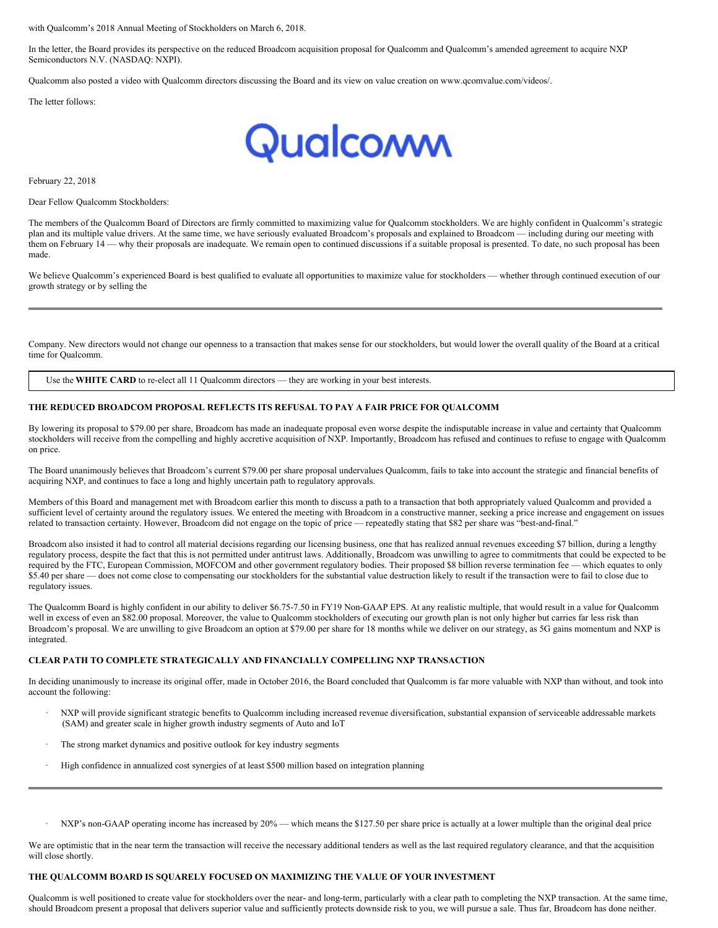with Qualcomm's 2018 Annual Meeting of Stockholders on March 6, 2018.

In the letter, the Board provides its perspective on the reduced Broadcom acquisition proposal for Qualcomm and Qualcomm's amended agreement to acquire NXP Semiconductors N.V. (NASDAQ: NXPI).

Qualcomm also posted a video with Qualcomm directors discussing the Board and its view on value creation on www.qcomvalue.com/videos/.

The letter follows:



February 22, 2018

Dear Fellow Qualcomm Stockholders:

The members of the Qualcomm Board of Directors are firmly committed to maximizing value for Qualcomm stockholders. We are highly confident in Qualcomm's strategic plan and its multiple value drivers. At the same time, we have seriously evaluated Broadcom's proposals and explained to Broadcom — including during our meeting with them on February 14 — why their proposals are inadequate. We remain open to continued discussions if a suitable proposal is presented. To date, no such proposal has been made.

We believe Qualcomm's experienced Board is best qualified to evaluate all opportunities to maximize value for stockholders — whether through continued execution of our growth strategy or by selling the

Company. New directors would not change our openness to a transaction that makes sense for our stockholders, but would lower the overall quality of the Board at a critical time for Qualcomm.

Use the **WHITE CARD** to re-elect all 11 Qualcomm directors — they are working in your best interests.

#### **THE REDUCED BROADCOM PROPOSAL REFLECTS ITS REFUSAL TO PAY A FAIR PRICE FOR QUALCOMM**

By lowering its proposal to \$79.00 per share, Broadcom has made an inadequate proposal even worse despite the indisputable increase in value and certainty that Qualcomm stockholders will receive from the compelling and highly accretive acquisition of NXP. Importantly, Broadcom has refused and continues to refuse to engage with Qualcomm on price.

The Board unanimously believes that Broadcom's current \$79.00 per share proposal undervalues Qualcomm, fails to take into account the strategic and financial benefits of acquiring NXP, and continues to face a long and highly uncertain path to regulatory approvals.

Members of this Board and management met with Broadcom earlier this month to discuss a path to a transaction that both appropriately valued Qualcomm and provided a sufficient level of certainty around the regulatory issues. We entered the meeting with Broadcom in a constructive manner, seeking a price increase and engagement on issues related to transaction certainty. However, Broadcom did not engage on the topic of price — repeatedly stating that \$82 per share was "best-and-final."

Broadcom also insisted it had to control all material decisions regarding our licensing business, one that has realized annual revenues exceeding \$7 billion, during a lengthy regulatory process, despite the fact that this is not permitted under antitrust laws. Additionally, Broadcom was unwilling to agree to commitments that could be expected to be required by the FTC, European Commission, MOFCOM and other government regulatory bodies. Their proposed \$8 billion reverse termination fee — which equates to only \$5.40 per share — does not come close to compensating our stockholders for the substantial value destruction likely to result if the transaction were to fail to close due to regulatory issues.

The Qualcomm Board is highly confident in our ability to deliver \$6.75-7.50 in FY19 Non-GAAP EPS. At any realistic multiple, that would result in a value for Qualcomm well in excess of even an \$82.00 proposal. Moreover, the value to Qualcomm stockholders of executing our growth plan is not only higher but carries far less risk than Broadcom's proposal. We are unwilling to give Broadcom an option at \$79.00 per share for 18 months while we deliver on our strategy, as 5G gains momentum and NXP is integrated.

#### **CLEAR PATH TO COMPLETE STRATEGICALLY AND FINANCIALLY COMPELLING NXP TRANSACTION**

In deciding unanimously to increase its original offer, made in October 2016, the Board concluded that Qualcomm is far more valuable with NXP than without, and took into account the following:

- · NXP will provide significant strategic benefits to Qualcomm including increased revenue diversification, substantial expansion of serviceable addressable markets (SAM) and greater scale in higher growth industry segments of Auto and IoT
- The strong market dynamics and positive outlook for key industry segments
- High confidence in annualized cost synergies of at least \$500 million based on integration planning
- NXP's non-GAAP operating income has increased by 20% which means the \$127.50 per share price is actually at a lower multiple than the original deal price

We are optimistic that in the near term the transaction will receive the necessary additional tenders as well as the last required regulatory clearance, and that the acquisition will close shortly.

#### **THE QUALCOMM BOARD IS SQUARELY FOCUSED ON MAXIMIZING THE VALUE OF YOUR INVESTMENT**

Qualcomm is well positioned to create value for stockholders over the near- and long-term, particularly with a clear path to completing the NXP transaction. At the same time, should Broadcom present a proposal that delivers superior value and sufficiently protects downside risk to you, we will pursue a sale. Thus far, Broadcom has done neither.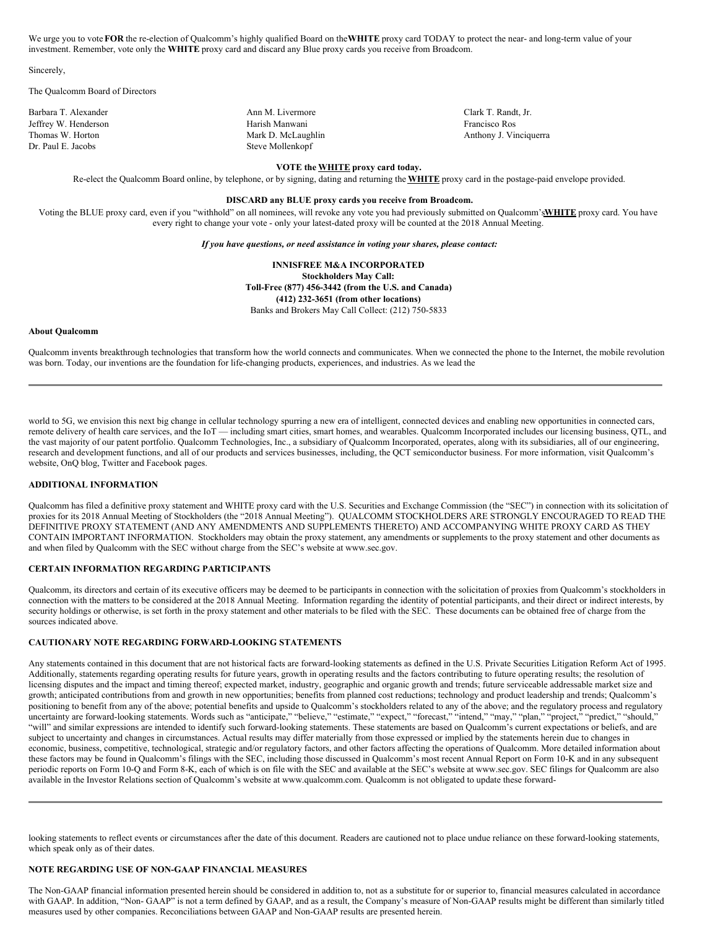We urge you to vote**FOR** the re-election of Qualcomm's highly qualified Board on the**WHITE** proxy card TODAY to protect the near- and long-term value of your investment. Remember, vote only the **WHITE** proxy card and discard any Blue proxy cards you receive from Broadcom.

Sincerely,

The Qualcomm Board of Directors

Dr. Paul E. Jacobs Steve Mollenkopf

Barbara T. Alexander **Ann M. Livermore** Clark T. Randt, Jr. **Clark T. Randt, Jr.** Ann M. Livermore Clark T. Randt, Jr. Jeffrey W. Henderson Harish Manwani Francisco Ros

Thomas W. Horton **Mark D. McLaughlin** Mark D. McLaughlin Anthony J. Vinciquerra

## **VOTE the WHITE proxy card today.**

Re-elect the Qualcomm Board online, by telephone, or by signing, dating and returning the **WHITE** proxy card in the postage-paid envelope provided.

#### **DISCARD any BLUE proxy cards you receive from Broadcom.**

Voting the BLUE proxy card, even if you "withhold" on all nominees, will revoke any vote you had previously submitted on Qualcomm's**WHITE** proxy card. You have every right to change your vote - only your latest-dated proxy will be counted at the 2018 Annual Meeting.

*If you have questions, or need assistance in voting your shares, please contact:*

**INNISFREE M&A INCORPORATED Stockholders May Call: Toll-Free (877) 456-3442 (from the U.S. and Canada) (412) 232-3651 (from other locations)** Banks and Brokers May Call Collect: (212) 750-5833

#### **About Qualcomm**

Qualcomm invents breakthrough technologies that transform how the world connects and communicates. When we connected the phone to the Internet, the mobile revolution was born. Today, our inventions are the foundation for life-changing products, experiences, and industries. As we lead the

world to 5G, we envision this next big change in cellular technology spurring a new era of intelligent, connected devices and enabling new opportunities in connected cars, remote delivery of health care services, and the IoT — including smart cities, smart homes, and wearables. Qualcomm Incorporated includes our licensing business, QTL, and the vast majority of our patent portfolio. Qualcomm Technologies, Inc., a subsidiary of Qualcomm Incorporated, operates, along with its subsidiaries, all of our engineering, research and development functions, and all of our products and services businesses, including, the QCT semiconductor business. For more information, visit Qualcomm's website, OnQ blog, Twitter and Facebook pages.

#### **ADDITIONAL INFORMATION**

Qualcomm has filed a definitive proxy statement and WHITE proxy card with the U.S. Securities and Exchange Commission (the "SEC") in connection with its solicitation of proxies for its 2018 Annual Meeting of Stockholders (the "2018 Annual Meeting"). QUALCOMM STOCKHOLDERS ARE STRONGLY ENCOURAGED TO READ THE DEFINITIVE PROXY STATEMENT (AND ANY AMENDMENTS AND SUPPLEMENTS THERETO) AND ACCOMPANYING WHITE PROXY CARD AS THEY CONTAIN IMPORTANT INFORMATION. Stockholders may obtain the proxy statement, any amendments or supplements to the proxy statement and other documents as and when filed by Qualcomm with the SEC without charge from the SEC's website at www.sec.gov.

#### **CERTAIN INFORMATION REGARDING PARTICIPANTS**

Qualcomm, its directors and certain of its executive officers may be deemed to be participants in connection with the solicitation of proxies from Qualcomm's stockholders in connection with the matters to be considered at the 2018 Annual Meeting. Information regarding the identity of potential participants, and their direct or indirect interests, by security holdings or otherwise, is set forth in the proxy statement and other materials to be filed with the SEC. These documents can be obtained free of charge from the sources indicated above.

#### **CAUTIONARY NOTE REGARDING FORWARD-LOOKING STATEMENTS**

Any statements contained in this document that are not historical facts are forward-looking statements as defined in the U.S. Private Securities Litigation Reform Act of 1995. Additionally, statements regarding operating results for future years, growth in operating results and the factors contributing to future operating results; the resolution of licensing disputes and the impact and timing thereof; expected market, industry, geographic and organic growth and trends; future serviceable addressable market size and growth; anticipated contributions from and growth in new opportunities; benefits from planned cost reductions; technology and product leadership and trends; Qualcomm's positioning to benefit from any of the above; potential benefits and upside to Qualcomm's stockholders related to any of the above; and the regulatory process and regulatory procertainty are forward-looking statements. Words such as "anticipate" believe," "estimate," "expect," "forecast," "intend," "may," "plan," "project," "predict," "should," uncertainty are forward-looking statements. Words "will" and similar expressions are intended to identify such forward-looking statements. These statements are based on Qualcomm's current expectations or beliefs, and are subject to uncertainty and changes in circumstances. Actual results may differ materially from those expressed or implied by the statements herein due to changes in economic, business, competitive, technological, strategic and/or regulatory factors, and other factors affecting the operations of Qualcomm. More detailed information about these factors may be found in Qualcomm's filings with the SEC, including those discussed in Qualcomm's most recent Annual Report on Form 10-K and in any subsequent periodic reports on Form 10-Q and Form 8-K, each of which is on file with the SEC and available at the SEC's website at www.sec.gov. SEC filings for Qualcomm are also available in the Investor Relations section of Qualcomm's website at www.qualcomm.com. Qualcomm is not obligated to update these forward-

looking statements to reflect events or circumstances after the date of this document. Readers are cautioned not to place undue reliance on these forward-looking statements, which speak only as of their dates.

#### **NOTE REGARDING USE OF NON-GAAP FINANCIAL MEASURES**

The Non-GAAP financial information presented herein should be considered in addition to, not as a substitute for or superior to, financial measures calculated in accordance with GAAP. In addition, "Non-GAAP" is not a term defined by GAAP, and as a result, the Company's measure of Non-GAAP results might be different than similarly titled measures used by other companies. Reconciliations between GAAP and Non-GAAP results are presented herein.